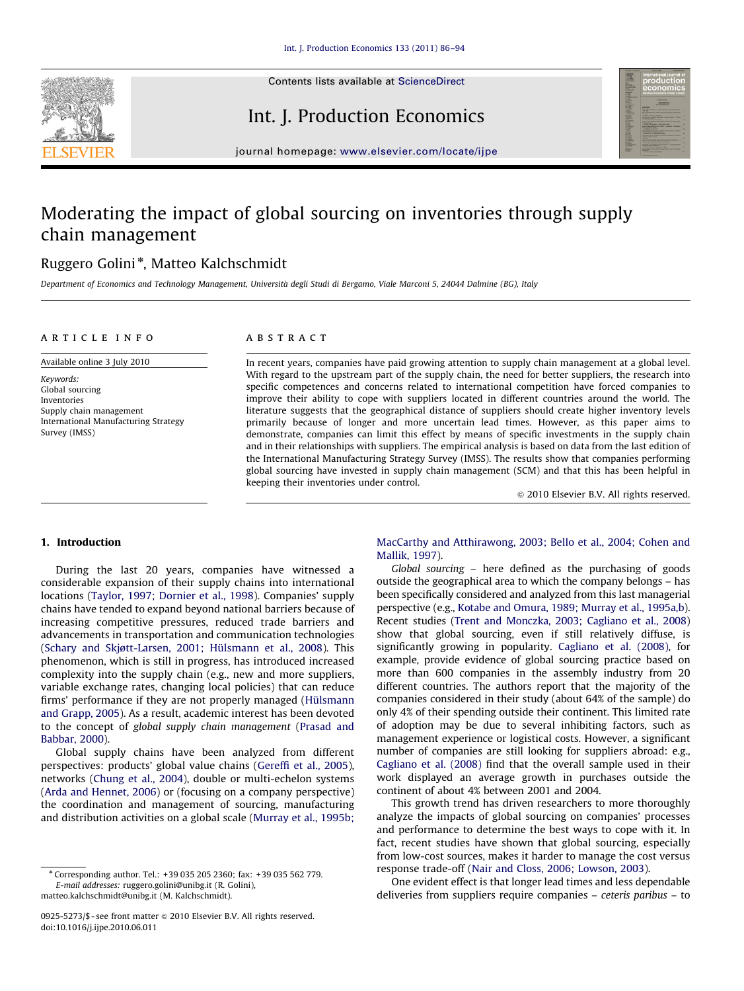

Contents lists available at ScienceDirect

## Int. J. Production Economics



journal homepage: <www.elsevier.com/locate/ijpe>

## Moderating the impact of global sourcing on inventories through supply chain management

### Ruggero Golini<sup>\*</sup>, Matteo Kalchschmidt

Department of Economics and Technology Management, Universita degli Studi di Bergamo, Viale Marconi 5, 24044 Dalmine (BG), Italy -

#### article info

Available online 3 July 2010

Keywords: Global sourcing Inventories Supply chain management International Manufacturing Strategy Survey (IMSS)

#### ABSTRACT

In recent years, companies have paid growing attention to supply chain management at a global level. With regard to the upstream part of the supply chain, the need for better suppliers, the research into specific competences and concerns related to international competition have forced companies to improve their ability to cope with suppliers located in different countries around the world. The literature suggests that the geographical distance of suppliers should create higher inventory levels primarily because of longer and more uncertain lead times. However, as this paper aims to demonstrate, companies can limit this effect by means of specific investments in the supply chain and in their relationships with suppliers. The empirical analysis is based on data from the last edition of the International Manufacturing Strategy Survey (IMSS). The results show that companies performing global sourcing have invested in supply chain management (SCM) and that this has been helpful in keeping their inventories under control.

 $\odot$  2010 Elsevier B.V. All rights reserved.

#### 1. Introduction

During the last 20 years, companies have witnessed a considerable expansion of their supply chains into international locations [\(Taylor, 1997; Dornier et al., 1998](#page--1-0)). Companies' supply chains have tended to expand beyond national barriers because of increasing competitive pressures, reduced trade barriers and advancements in transportation and communication technologies (Schary and Skjøtt-Larsen, 2001; Hülsmann et al., 2008). This phenomenon, which is still in progress, has introduced increased complexity into the supply chain (e.g., new and more suppliers, variable exchange rates, changing local policies) that can reduce firms' performance if they are not properly managed (Hülsmann [and Grapp, 2005\)](#page--1-0). As a result, academic interest has been devoted to the concept of global supply chain management [\(Prasad and](#page--1-0) [Babbar, 2000](#page--1-0)).

Global supply chains have been analyzed from different perspectives: products' global value chains [\(Gereffi et al., 2005\)](#page--1-0), networks ([Chung et al., 2004\)](#page--1-0), double or multi-echelon systems ([Arda and Hennet, 2006](#page--1-0)) or (focusing on a company perspective) the coordination and management of sourcing, manufacturing and distribution activities on a global scale ([Murray et al., 1995b;](#page--1-0) [MacCarthy and Atthirawong, 2003; Bello et al., 2004; Cohen and](#page--1-0) [Mallik, 1997\)](#page--1-0).

Global sourcing – here defined as the purchasing of goods outside the geographical area to which the company belongs – has been specifically considered and analyzed from this last managerial perspective (e.g., [Kotabe and Omura, 1989; Murray et al., 1995a,b\)](#page--1-0). Recent studies [\(Trent and Monczka, 2003; Cagliano et al., 2008\)](#page--1-0) show that global sourcing, even if still relatively diffuse, is significantly growing in popularity. [Cagliano et al. \(2008\)](#page--1-0), for example, provide evidence of global sourcing practice based on more than 600 companies in the assembly industry from 20 different countries. The authors report that the majority of the companies considered in their study (about 64% of the sample) do only 4% of their spending outside their continent. This limited rate of adoption may be due to several inhibiting factors, such as management experience or logistical costs. However, a significant number of companies are still looking for suppliers abroad: e.g., [Cagliano et al. \(2008\)](#page--1-0) find that the overall sample used in their work displayed an average growth in purchases outside the continent of about 4% between 2001 and 2004.

This growth trend has driven researchers to more thoroughly analyze the impacts of global sourcing on companies' processes and performance to determine the best ways to cope with it. In fact, recent studies have shown that global sourcing, especially from low-cost sources, makes it harder to manage the cost versus response trade-off ([Nair and Closs, 2006; Lowson, 2003\)](#page--1-0).

One evident effect is that longer lead times and less dependable deliveries from suppliers require companies – ceteris paribus – to

<sup>n</sup> Corresponding author. Tel.: +39 035 205 2360; fax: +39 035 562 779. E-mail addresses: [ruggero.golini@unibg.it \(R. Golini\)](mailto:ruggero.golini@unibg.it), [matteo.kalchschmidt@unibg.it \(M. Kalchschmidt\).](mailto:matteo.kalchschmidt@unibg.it)

<sup>0925-5273/\$ -</sup> see front matter @ 2010 Elsevier B.V. All rights reserved. doi:[10.1016/j.ijpe.2010.06.011](dx.doi.org/10.1016/j.ijpe.2010.06.011)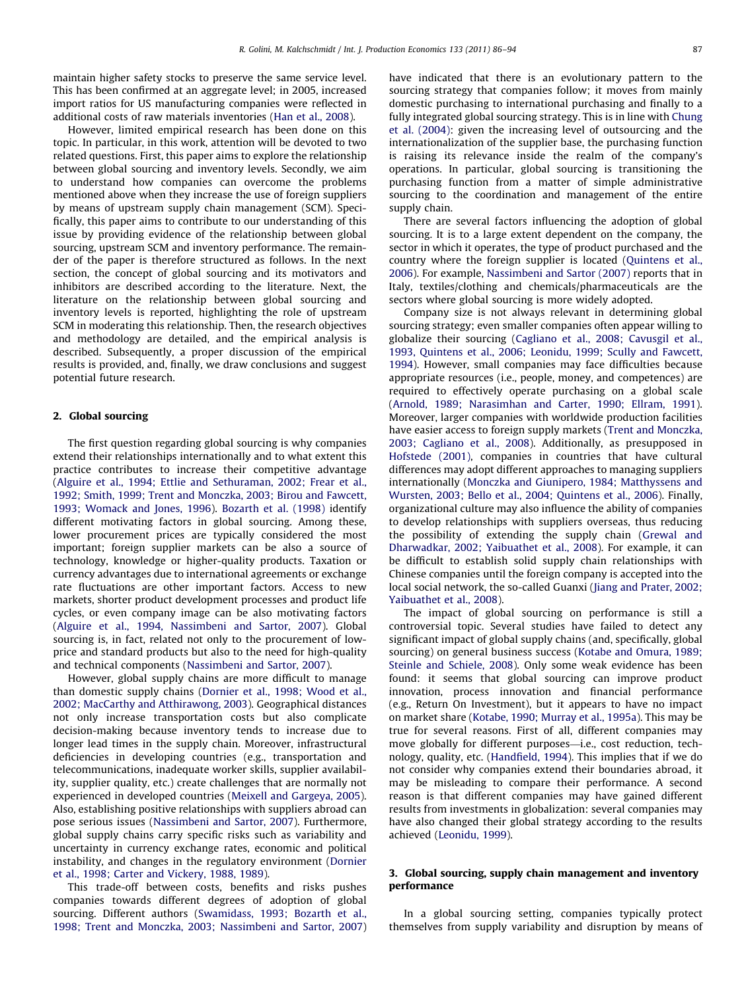maintain higher safety stocks to preserve the same service level. This has been confirmed at an aggregate level; in 2005, increased import ratios for US manufacturing companies were reflected in additional costs of raw materials inventories [\(Han et al., 2008\)](#page--1-0).

However, limited empirical research has been done on this topic. In particular, in this work, attention will be devoted to two related questions. First, this paper aims to explore the relationship between global sourcing and inventory levels. Secondly, we aim to understand how companies can overcome the problems mentioned above when they increase the use of foreign suppliers by means of upstream supply chain management (SCM). Specifically, this paper aims to contribute to our understanding of this issue by providing evidence of the relationship between global sourcing, upstream SCM and inventory performance. The remainder of the paper is therefore structured as follows. In the next section, the concept of global sourcing and its motivators and inhibitors are described according to the literature. Next, the literature on the relationship between global sourcing and inventory levels is reported, highlighting the role of upstream SCM in moderating this relationship. Then, the research objectives and methodology are detailed, and the empirical analysis is described. Subsequently, a proper discussion of the empirical results is provided, and, finally, we draw conclusions and suggest potential future research.

#### 2. Global sourcing

The first question regarding global sourcing is why companies extend their relationships internationally and to what extent this practice contributes to increase their competitive advantage ([Alguire et al., 1994; Ettlie and Sethuraman, 2002; Frear et al.,](#page--1-0) [1992; Smith, 1999; Trent and Monczka, 2003; Birou and Fawcett,](#page--1-0) [1993; Womack and Jones, 1996](#page--1-0)). [Bozarth et al. \(1998\)](#page--1-0) identify different motivating factors in global sourcing. Among these, lower procurement prices are typically considered the most important; foreign supplier markets can be also a source of technology, knowledge or higher-quality products. Taxation or currency advantages due to international agreements or exchange rate fluctuations are other important factors. Access to new markets, shorter product development processes and product life cycles, or even company image can be also motivating factors ([Alguire et al., 1994, Nassimbeni and Sartor, 2007\)](#page--1-0). Global sourcing is, in fact, related not only to the procurement of lowprice and standard products but also to the need for high-quality and technical components ([Nassimbeni and Sartor, 2007](#page--1-0)).

However, global supply chains are more difficult to manage than domestic supply chains [\(Dornier et al., 1998; Wood et al.,](#page--1-0) [2002; MacCarthy and Atthirawong, 2003](#page--1-0)). Geographical distances not only increase transportation costs but also complicate decision-making because inventory tends to increase due to longer lead times in the supply chain. Moreover, infrastructural deficiencies in developing countries (e.g., transportation and telecommunications, inadequate worker skills, supplier availability, supplier quality, etc.) create challenges that are normally not experienced in developed countries [\(Meixell and Gargeya, 2005\)](#page--1-0). Also, establishing positive relationships with suppliers abroad can pose serious issues ([Nassimbeni and Sartor, 2007](#page--1-0)). Furthermore, global supply chains carry specific risks such as variability and uncertainty in currency exchange rates, economic and political instability, and changes in the regulatory environment [\(Dornier](#page--1-0) [et al., 1998; Carter and Vickery, 1988, 1989](#page--1-0)).

This trade-off between costs, benefits and risks pushes companies towards different degrees of adoption of global sourcing. Different authors ([Swamidass, 1993; Bozarth et al.,](#page--1-0) [1998; Trent and Monczka, 2003; Nassimbeni and Sartor, 2007\)](#page--1-0) have indicated that there is an evolutionary pattern to the sourcing strategy that companies follow; it moves from mainly domestic purchasing to international purchasing and finally to a fully integrated global sourcing strategy. This is in line with [Chung](#page--1-0) [et al. \(2004\)](#page--1-0): given the increasing level of outsourcing and the internationalization of the supplier base, the purchasing function is raising its relevance inside the realm of the company's operations. In particular, global sourcing is transitioning the purchasing function from a matter of simple administrative sourcing to the coordination and management of the entire supply chain.

There are several factors influencing the adoption of global sourcing. It is to a large extent dependent on the company, the sector in which it operates, the type of product purchased and the country where the foreign supplier is located ([Quintens et al.,](#page--1-0) [2006\)](#page--1-0). For example, [Nassimbeni and Sartor \(2007\)](#page--1-0) reports that in Italy, textiles/clothing and chemicals/pharmaceuticals are the sectors where global sourcing is more widely adopted.

Company size is not always relevant in determining global sourcing strategy; even smaller companies often appear willing to globalize their sourcing [\(Cagliano et al., 2008; Cavusgil et al.,](#page--1-0) [1993, Quintens et al., 2006; Leonidu, 1999; Scully and Fawcett,](#page--1-0) [1994\)](#page--1-0). However, small companies may face difficulties because appropriate resources (i.e., people, money, and competences) are required to effectively operate purchasing on a global scale ([Arnold, 1989; Narasimhan and Carter, 1990; Ellram, 1991\)](#page--1-0). Moreover, larger companies with worldwide production facilities have easier access to foreign supply markets ([Trent and Monczka,](#page--1-0) [2003; Cagliano et al., 2008](#page--1-0)). Additionally, as presupposed in [Hofstede \(2001\),](#page--1-0) companies in countries that have cultural differences may adopt different approaches to managing suppliers internationally [\(Monczka and Giunipero, 1984; Matthyssens and](#page--1-0) [Wursten, 2003; Bello et al., 2004; Quintens et al., 2006](#page--1-0)). Finally, organizational culture may also influence the ability of companies to develop relationships with suppliers overseas, thus reducing the possibility of extending the supply chain ([Grewal and](#page--1-0) [Dharwadkar, 2002; Yaibuathet et al., 2008](#page--1-0)). For example, it can be difficult to establish solid supply chain relationships with Chinese companies until the foreign company is accepted into the local social network, the so-called Guanxi ([Jiang and Prater, 2002;](#page--1-0) [Yaibuathet et al., 2008\)](#page--1-0).

The impact of global sourcing on performance is still a controversial topic. Several studies have failed to detect any significant impact of global supply chains (and, specifically, global sourcing) on general business success [\(Kotabe and Omura, 1989;](#page--1-0) [Steinle and Schiele, 2008](#page--1-0)). Only some weak evidence has been found: it seems that global sourcing can improve product innovation, process innovation and financial performance (e.g., Return On Investment), but it appears to have no impact on market share ([Kotabe, 1990; Murray et al., 1995a\)](#page--1-0). This may be true for several reasons. First of all, different companies may move globally for different purposes—i.e., cost reduction, technology, quality, etc. [\(Handfield, 1994\)](#page--1-0). This implies that if we do not consider why companies extend their boundaries abroad, it may be misleading to compare their performance. A second reason is that different companies may have gained different results from investments in globalization: several companies may have also changed their global strategy according to the results achieved [\(Leonidu, 1999\)](#page--1-0).

#### 3. Global sourcing, supply chain management and inventory performance

In a global sourcing setting, companies typically protect themselves from supply variability and disruption by means of